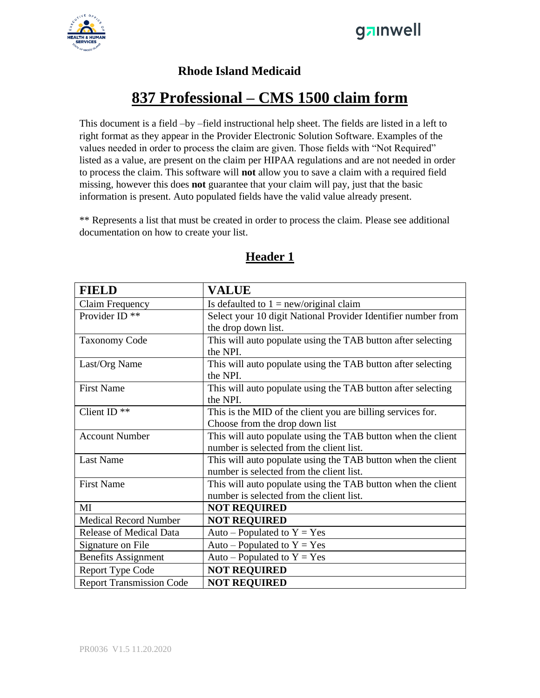



#### **Rhode Island Medicaid**

#### **837 Professional – CMS 1500 claim form**

This document is a field –by –field instructional help sheet. The fields are listed in a left to right format as they appear in the Provider Electronic Solution Software. Examples of the values needed in order to process the claim are given. Those fields with "Not Required" listed as a value, are present on the claim per HIPAA regulations and are not needed in order to process the claim. This software will **not** allow you to save a claim with a required field missing, however this does **not** guarantee that your claim will pay, just that the basic information is present. Auto populated fields have the valid value already present.

\*\* Represents a list that must be created in order to process the claim. Please see additional documentation on how to create your list.

| <b>FIELD</b>                    | <b>VALUE</b>                                                  |
|---------------------------------|---------------------------------------------------------------|
| Claim Frequency                 | Is defaulted to $1 = new/original claim$                      |
| Provider ID <sup>**</sup>       | Select your 10 digit National Provider Identifier number from |
|                                 | the drop down list.                                           |
| <b>Taxonomy Code</b>            | This will auto populate using the TAB button after selecting  |
|                                 | the NPI.                                                      |
| Last/Org Name                   | This will auto populate using the TAB button after selecting  |
|                                 | the NPI.                                                      |
| <b>First Name</b>               | This will auto populate using the TAB button after selecting  |
|                                 | the NPI.                                                      |
| Client ID <sup>**</sup>         | This is the MID of the client you are billing services for.   |
|                                 | Choose from the drop down list                                |
| <b>Account Number</b>           | This will auto populate using the TAB button when the client  |
|                                 | number is selected from the client list.                      |
| <b>Last Name</b>                | This will auto populate using the TAB button when the client  |
|                                 | number is selected from the client list.                      |
| <b>First Name</b>               | This will auto populate using the TAB button when the client  |
|                                 | number is selected from the client list.                      |
| MI                              | <b>NOT REQUIRED</b>                                           |
| <b>Medical Record Number</b>    | <b>NOT REQUIRED</b>                                           |
| <b>Release of Medical Data</b>  | Auto – Populated to $Y = Yes$                                 |
| Signature on File               | Auto – Populated to $Y = Yes$                                 |
| <b>Benefits Assignment</b>      | Auto – Populated to $Y = Yes$                                 |
| <b>Report Type Code</b>         | <b>NOT REQUIRED</b>                                           |
| <b>Report Transmission Code</b> | <b>NOT REQUIRED</b>                                           |

#### **Header 1**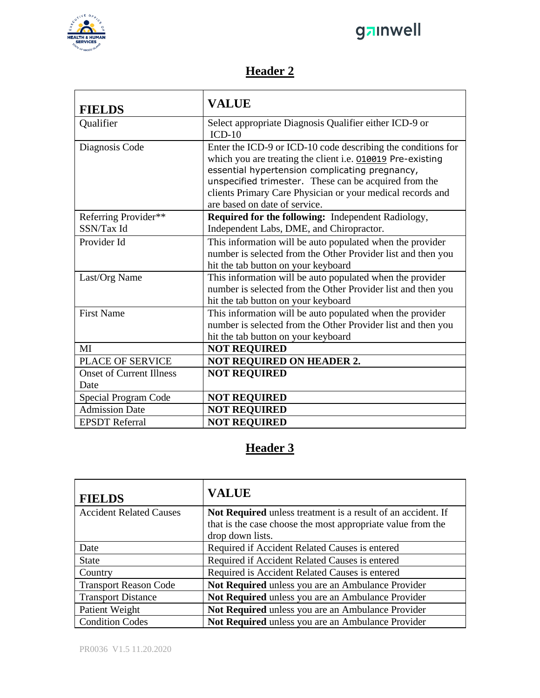

## ganwell

## **Header 2**

| <b>FIELDS</b>                   | <b>VALUE</b>                                                                                                                                                                                                                                                                                                                         |
|---------------------------------|--------------------------------------------------------------------------------------------------------------------------------------------------------------------------------------------------------------------------------------------------------------------------------------------------------------------------------------|
| Qualifier                       | Select appropriate Diagnosis Qualifier either ICD-9 or<br>$ICD-10$                                                                                                                                                                                                                                                                   |
| Diagnosis Code                  | Enter the ICD-9 or ICD-10 code describing the conditions for<br>which you are treating the client i.e. 010019 Pre-existing<br>essential hypertension complicating pregnancy,<br>unspecified trimester. These can be acquired from the<br>clients Primary Care Physician or your medical records and<br>are based on date of service. |
| Referring Provider**            | Required for the following: Independent Radiology,                                                                                                                                                                                                                                                                                   |
| SSN/Tax Id                      | Independent Labs, DME, and Chiropractor.                                                                                                                                                                                                                                                                                             |
| Provider Id                     | This information will be auto populated when the provider<br>number is selected from the Other Provider list and then you<br>hit the tab button on your keyboard                                                                                                                                                                     |
| Last/Org Name                   | This information will be auto populated when the provider<br>number is selected from the Other Provider list and then you<br>hit the tab button on your keyboard                                                                                                                                                                     |
| <b>First Name</b>               | This information will be auto populated when the provider<br>number is selected from the Other Provider list and then you<br>hit the tab button on your keyboard                                                                                                                                                                     |
| MI                              | <b>NOT REQUIRED</b>                                                                                                                                                                                                                                                                                                                  |
| <b>PLACE OF SERVICE</b>         | <b>NOT REQUIRED ON HEADER 2.</b>                                                                                                                                                                                                                                                                                                     |
| <b>Onset of Current Illness</b> | <b>NOT REQUIRED</b>                                                                                                                                                                                                                                                                                                                  |
| Date                            |                                                                                                                                                                                                                                                                                                                                      |
| Special Program Code            | <b>NOT REQUIRED</b>                                                                                                                                                                                                                                                                                                                  |
| <b>Admission Date</b>           | <b>NOT REQUIRED</b>                                                                                                                                                                                                                                                                                                                  |
| <b>EPSDT</b> Referral           | <b>NOT REQUIRED</b>                                                                                                                                                                                                                                                                                                                  |

## **Header 3**

| <b>FIELDS</b>                  | <b>VALUE</b>                                                 |
|--------------------------------|--------------------------------------------------------------|
| <b>Accident Related Causes</b> | Not Required unless treatment is a result of an accident. If |
|                                | that is the case choose the most appropriate value from the  |
|                                | drop down lists.                                             |
| Date                           | Required if Accident Related Causes is entered               |
| <b>State</b>                   | Required if Accident Related Causes is entered               |
| Country                        | Required is Accident Related Causes is entered               |
| <b>Transport Reason Code</b>   | Not Required unless you are an Ambulance Provider            |
| <b>Transport Distance</b>      | Not Required unless you are an Ambulance Provider            |
| Patient Weight                 | Not Required unless you are an Ambulance Provider            |
| <b>Condition Codes</b>         | Not Required unless you are an Ambulance Provider            |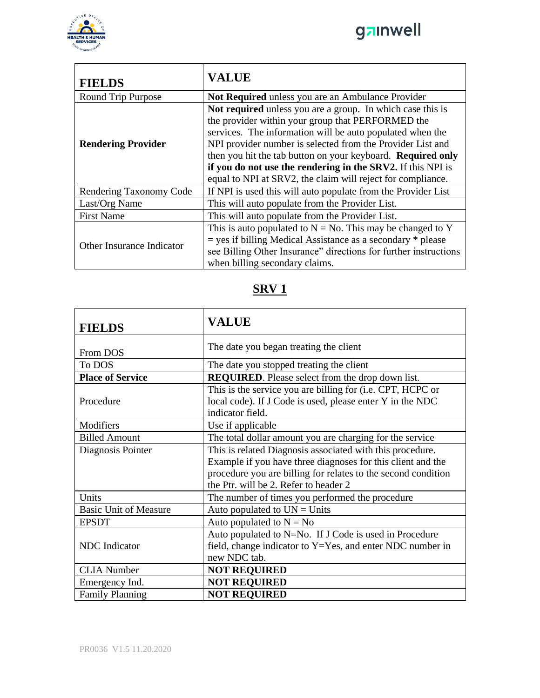



| <b>FIELDS</b>             | <b>VALUE</b>                                                                                                                                                                                                                                                                                                                                                                                                                            |
|---------------------------|-----------------------------------------------------------------------------------------------------------------------------------------------------------------------------------------------------------------------------------------------------------------------------------------------------------------------------------------------------------------------------------------------------------------------------------------|
| Round Trip Purpose        | Not Required unless you are an Ambulance Provider                                                                                                                                                                                                                                                                                                                                                                                       |
| <b>Rendering Provider</b> | Not required unless you are a group. In which case this is<br>the provider within your group that PERFORMED the<br>services. The information will be auto populated when the<br>NPI provider number is selected from the Provider List and<br>then you hit the tab button on your keyboard. Required only<br>if you do not use the rendering in the SRV2. If this NPI is<br>equal to NPI at SRV2, the claim will reject for compliance. |
| Rendering Taxonomy Code   | If NPI is used this will auto populate from the Provider List                                                                                                                                                                                                                                                                                                                                                                           |
| Last/Org Name             | This will auto populate from the Provider List.                                                                                                                                                                                                                                                                                                                                                                                         |
| <b>First Name</b>         | This will auto populate from the Provider List.                                                                                                                                                                                                                                                                                                                                                                                         |
| Other Insurance Indicator | This is auto populated to $N = No$ . This may be changed to Y<br>$=$ yes if billing Medical Assistance as a secondary $*$ please<br>see Billing Other Insurance" directions for further instructions<br>when billing secondary claims.                                                                                                                                                                                                  |

## **SRV 1**

| <b>FIELDS</b>                | <b>VALUE</b>                                                                                                                                                                                                                       |
|------------------------------|------------------------------------------------------------------------------------------------------------------------------------------------------------------------------------------------------------------------------------|
| From DOS                     | The date you began treating the client                                                                                                                                                                                             |
| To DOS                       | The date you stopped treating the client                                                                                                                                                                                           |
| <b>Place of Service</b>      | <b>REQUIRED</b> . Please select from the drop down list.                                                                                                                                                                           |
| Procedure                    | This is the service you are billing for (i.e. CPT, HCPC or<br>local code). If J Code is used, please enter Y in the NDC<br>indicator field.                                                                                        |
| Modifiers                    | Use if applicable                                                                                                                                                                                                                  |
| <b>Billed Amount</b>         | The total dollar amount you are charging for the service                                                                                                                                                                           |
| Diagnosis Pointer            | This is related Diagnosis associated with this procedure.<br>Example if you have three diagnoses for this client and the<br>procedure you are billing for relates to the second condition<br>the Ptr. will be 2. Refer to header 2 |
| Units                        | The number of times you performed the procedure                                                                                                                                                                                    |
| <b>Basic Unit of Measure</b> | Auto populated to $UN = Units$                                                                                                                                                                                                     |
| <b>EPSDT</b>                 | Auto populated to $N = No$                                                                                                                                                                                                         |
| <b>NDC</b> Indicator         | Auto populated to N=No. If J Code is used in Procedure<br>field, change indicator to $Y = Yes$ , and enter NDC number in<br>new NDC tab.                                                                                           |
| <b>CLIA Number</b>           | <b>NOT REQUIRED</b>                                                                                                                                                                                                                |
| Emergency Ind.               | <b>NOT REQUIRED</b>                                                                                                                                                                                                                |
| <b>Family Planning</b>       | <b>NOT REQUIRED</b>                                                                                                                                                                                                                |